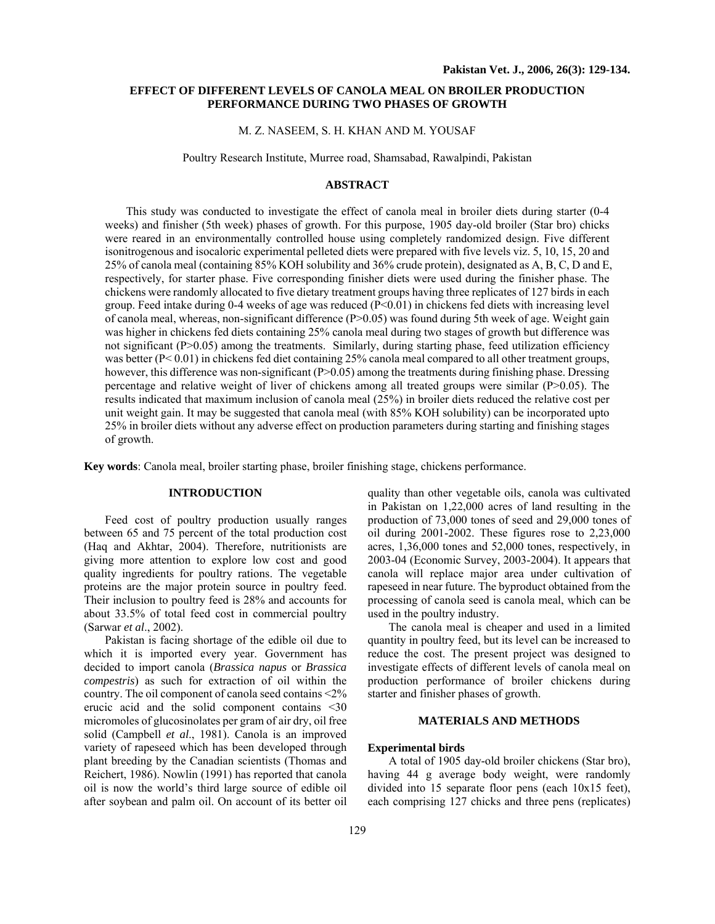# **EFFECT OF DIFFERENT LEVELS OF CANOLA MEAL ON BROILER PRODUCTION PERFORMANCE DURING TWO PHASES OF GROWTH**

#### M. Z. NASEEM, S. H. KHAN AND M. YOUSAF

Poultry Research Institute, Murree road, Shamsabad, Rawalpindi, Pakistan

# **ABSTRACT**

This study was conducted to investigate the effect of canola meal in broiler diets during starter (0-4 weeks) and finisher (5th week) phases of growth. For this purpose, 1905 day-old broiler (Star bro) chicks were reared in an environmentally controlled house using completely randomized design. Five different isonitrogenous and isocaloric experimental pelleted diets were prepared with five levels viz. 5, 10, 15, 20 and 25% of canola meal (containing 85% KOH solubility and 36% crude protein), designated as A, B, C, D and E, respectively, for starter phase. Five corresponding finisher diets were used during the finisher phase. The chickens were randomly allocated to five dietary treatment groups having three replicates of 127 birds in each group. Feed intake during 0-4 weeks of age was reduced (P<0.01) in chickens fed diets with increasing level of canola meal, whereas, non-significant difference (P>0.05) was found during 5th week of age. Weight gain was higher in chickens fed diets containing 25% canola meal during two stages of growth but difference was not significant (P>0.05) among the treatments. Similarly, during starting phase, feed utilization efficiency was better (P< 0.01) in chickens fed diet containing 25% canola meal compared to all other treatment groups, however, this difference was non-significant (P>0.05) among the treatments during finishing phase. Dressing percentage and relative weight of liver of chickens among all treated groups were similar (P>0.05). The results indicated that maximum inclusion of canola meal (25%) in broiler diets reduced the relative cost per unit weight gain. It may be suggested that canola meal (with 85% KOH solubility) can be incorporated upto 25% in broiler diets without any adverse effect on production parameters during starting and finishing stages of growth.

**Key words**: Canola meal, broiler starting phase, broiler finishing stage, chickens performance.

### **INTRODUCTION**

Feed cost of poultry production usually ranges between 65 and 75 percent of the total production cost (Haq and Akhtar, 2004). Therefore, nutritionists are giving more attention to explore low cost and good quality ingredients for poultry rations. The vegetable proteins are the major protein source in poultry feed. Their inclusion to poultry feed is 28% and accounts for about 33.5% of total feed cost in commercial poultry (Sarwar *et al*., 2002).

Pakistan is facing shortage of the edible oil due to which it is imported every year. Government has decided to import canola (*Brassica napus* or *Brassica compestris*) as such for extraction of oil within the country. The oil component of canola seed contains <2% erucic acid and the solid component contains <30 micromoles of glucosinolates per gram of air dry, oil free solid (Campbell *et al*., 1981). Canola is an improved variety of rapeseed which has been developed through plant breeding by the Canadian scientists (Thomas and Reichert, 1986). Nowlin (1991) has reported that canola oil is now the world's third large source of edible oil after soybean and palm oil. On account of its better oil

quality than other vegetable oils, canola was cultivated in Pakistan on 1,22,000 acres of land resulting in the production of 73,000 tones of seed and 29,000 tones of oil during 2001-2002. These figures rose to 2,23,000 acres, 1,36,000 tones and 52,000 tones, respectively, in 2003-04 (Economic Survey, 2003-2004). It appears that canola will replace major area under cultivation of rapeseed in near future. The byproduct obtained from the processing of canola seed is canola meal, which can be used in the poultry industry.

The canola meal is cheaper and used in a limited quantity in poultry feed, but its level can be increased to reduce the cost. The present project was designed to investigate effects of different levels of canola meal on production performance of broiler chickens during starter and finisher phases of growth.

#### **MATERIALS AND METHODS**

#### **Experimental birds**

A total of 1905 day-old broiler chickens (Star bro), having 44 g average body weight, were randomly divided into 15 separate floor pens (each 10x15 feet), each comprising 127 chicks and three pens (replicates)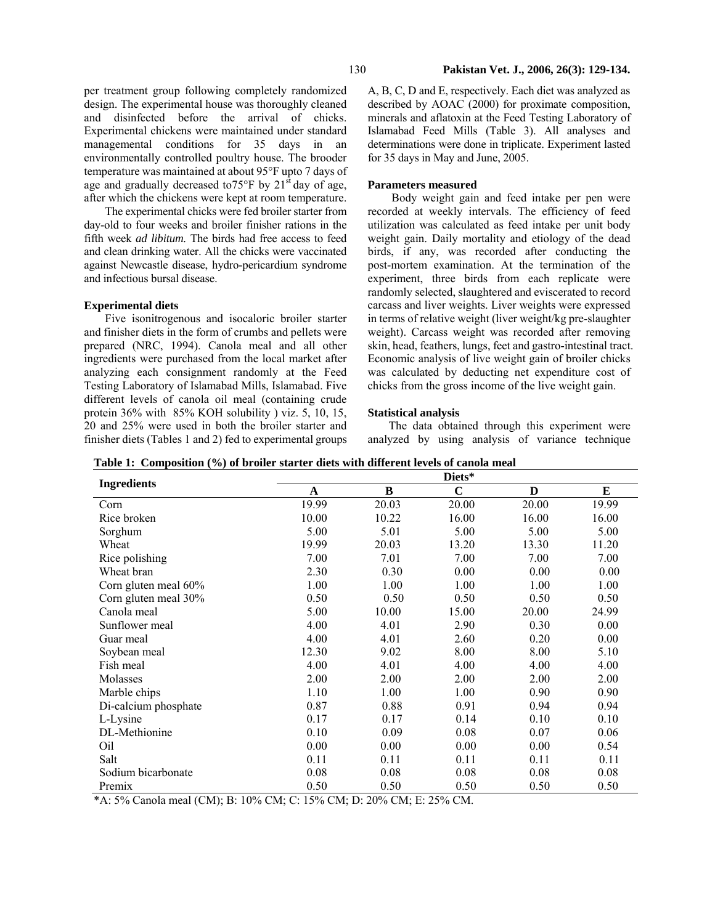per treatment group following completely randomized design. The experimental house was thoroughly cleaned and disinfected before the arrival of chicks. Experimental chickens were maintained under standard managemental conditions for 35 days in an environmentally controlled poultry house. The brooder temperature was maintained at about 95°F upto 7 days of age and gradually decreased to  $75^{\circ}$ F by  $21^{\text{st}}$  day of age, after which the chickens were kept at room temperature.

The experimental chicks were fed broiler starter from day-old to four weeks and broiler finisher rations in the fifth week *ad libitum.* The birds had free access to feed and clean drinking water. All the chicks were vaccinated against Newcastle disease, hydro-pericardium syndrome and infectious bursal disease.

### **Experimental diets**

Five isonitrogenous and isocaloric broiler starter and finisher diets in the form of crumbs and pellets were prepared (NRC, 1994). Canola meal and all other ingredients were purchased from the local market after analyzing each consignment randomly at the Feed Testing Laboratory of Islamabad Mills, Islamabad. Five different levels of canola oil meal (containing crude protein 36% with 85% KOH solubility ) viz. 5, 10, 15, 20 and 25% were used in both the broiler starter and finisher diets (Tables 1 and 2) fed to experimental groups

A, B, C, D and E, respectively. Each diet was analyzed as described by AOAC (2000) for proximate composition, minerals and aflatoxin at the Feed Testing Laboratory of Islamabad Feed Mills (Table 3). All analyses and determinations were done in triplicate. Experiment lasted for 35 days in May and June, 2005.

# **Parameters measured**

 Body weight gain and feed intake per pen were recorded at weekly intervals. The efficiency of feed utilization was calculated as feed intake per unit body weight gain. Daily mortality and etiology of the dead birds, if any, was recorded after conducting the post-mortem examination. At the termination of the experiment, three birds from each replicate were randomly selected, slaughtered and eviscerated to record carcass and liver weights. Liver weights were expressed in terms of relative weight (liver weight/kg pre-slaughter weight). Carcass weight was recorded after removing skin, head, feathers, lungs, feet and gastro-intestinal tract. Economic analysis of live weight gain of broiler chicks was calculated by deducting net expenditure cost of chicks from the gross income of the live weight gain.

#### **Statistical analysis**

The data obtained through this experiment were analyzed by using analysis of variance technique

|                      | Diets* |       |             |       |       |  |  |
|----------------------|--------|-------|-------------|-------|-------|--|--|
| <b>Ingredients</b>   | A      | B     | $\mathbf C$ | D     | E     |  |  |
| Corn                 | 19.99  | 20.03 | 20.00       | 20.00 | 19.99 |  |  |
| Rice broken          | 10.00  | 10.22 | 16.00       | 16.00 | 16.00 |  |  |
| Sorghum              | 5.00   | 5.01  | 5.00        | 5.00  | 5.00  |  |  |
| Wheat                | 19.99  | 20.03 | 13.20       | 13.30 | 11.20 |  |  |
| Rice polishing       | 7.00   | 7.01  | 7.00        | 7.00  | 7.00  |  |  |
| Wheat bran           | 2.30   | 0.30  | 0.00        | 0.00  | 0.00  |  |  |
| Corn gluten meal 60% | 1.00   | 1.00  | 1.00        | 1.00  | 1.00  |  |  |
| Corn gluten meal 30% | 0.50   | 0.50  | 0.50        | 0.50  | 0.50  |  |  |
| Canola meal          | 5.00   | 10.00 | 15.00       | 20.00 | 24.99 |  |  |
| Sunflower meal       | 4.00   | 4.01  | 2.90        | 0.30  | 0.00  |  |  |
| Guar meal            | 4.00   | 4.01  | 2.60        | 0.20  | 0.00  |  |  |
| Soybean meal         | 12.30  | 9.02  | 8.00        | 8.00  | 5.10  |  |  |
| Fish meal            | 4.00   | 4.01  | 4.00        | 4.00  | 4.00  |  |  |
| Molasses             | 2.00   | 2.00  | 2.00        | 2.00  | 2.00  |  |  |
| Marble chips         | 1.10   | 1.00  | 1.00        | 0.90  | 0.90  |  |  |
| Di-calcium phosphate | 0.87   | 0.88  | 0.91        | 0.94  | 0.94  |  |  |
| L-Lysine             | 0.17   | 0.17  | 0.14        | 0.10  | 0.10  |  |  |
| DL-Methionine        | 0.10   | 0.09  | 0.08        | 0.07  | 0.06  |  |  |
| Oil                  | 0.00   | 0.00  | 0.00        | 0.00  | 0.54  |  |  |
| Salt                 | 0.11   | 0.11  | 0.11        | 0.11  | 0.11  |  |  |
| Sodium bicarbonate   | 0.08   | 0.08  | 0.08        | 0.08  | 0.08  |  |  |
| Premix               | 0.50   | 0.50  | 0.50        | 0.50  | 0.50  |  |  |

**Table 1: Composition (%) of broiler starter diets with different levels of canola meal** 

\*A: 5% Canola meal (CM); B: 10% CM; C: 15% CM; D: 20% CM; E: 25% CM.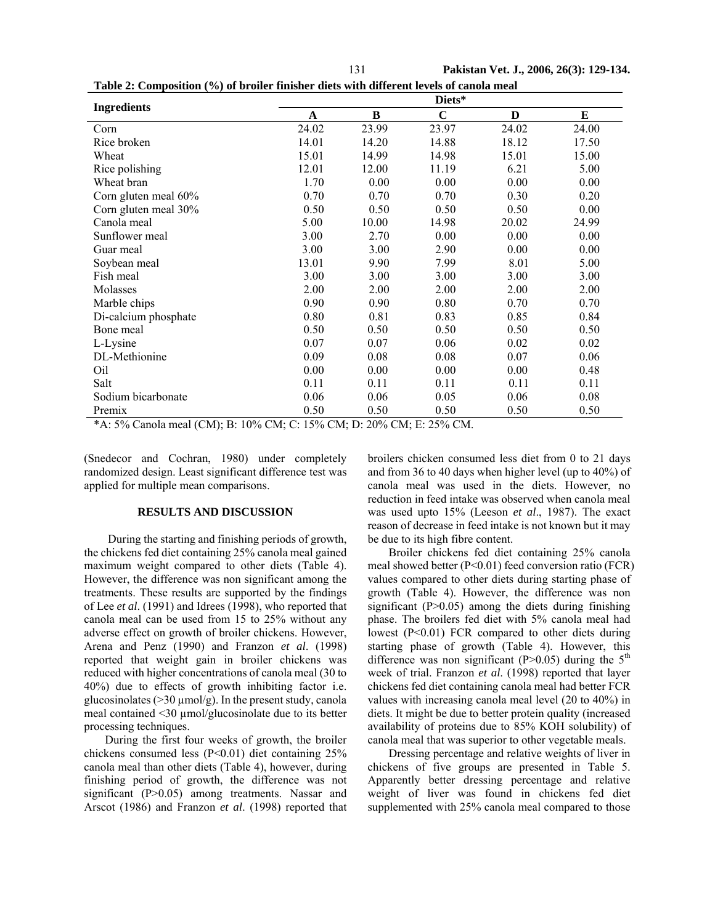| I | v |  |
|---|---|--|
|   |   |  |
|   |   |  |

131 **Pakistan Vet. J., 2006, 26(3): 129-134.** 

| <b>Ingredients</b>   |       |       | Diets*      |       |       |
|----------------------|-------|-------|-------------|-------|-------|
|                      | A     | B     | $\mathbf C$ | D     | E     |
| Corn                 | 24.02 | 23.99 | 23.97       | 24.02 | 24.00 |
| Rice broken          | 14.01 | 14.20 | 14.88       | 18.12 | 17.50 |
| Wheat                | 15.01 | 14.99 | 14.98       | 15.01 | 15.00 |
| Rice polishing       | 12.01 | 12.00 | 11.19       | 6.21  | 5.00  |
| Wheat bran           | 1.70  | 0.00  | 0.00        | 0.00  | 0.00  |
| Corn gluten meal 60% | 0.70  | 0.70  | 0.70        | 0.30  | 0.20  |
| Corn gluten meal 30% | 0.50  | 0.50  | 0.50        | 0.50  | 0.00  |
| Canola meal          | 5.00  | 10.00 | 14.98       | 20.02 | 24.99 |
| Sunflower meal       | 3.00  | 2.70  | 0.00        | 0.00  | 0.00  |
| Guar meal            | 3.00  | 3.00  | 2.90        | 0.00  | 0.00  |
| Soybean meal         | 13.01 | 9.90  | 7.99        | 8.01  | 5.00  |
| Fish meal            | 3.00  | 3.00  | 3.00        | 3.00  | 3.00  |
| Molasses             | 2.00  | 2.00  | 2.00        | 2.00  | 2.00  |
| Marble chips         | 0.90  | 0.90  | 0.80        | 0.70  | 0.70  |
| Di-calcium phosphate | 0.80  | 0.81  | 0.83        | 0.85  | 0.84  |
| Bone meal            | 0.50  | 0.50  | 0.50        | 0.50  | 0.50  |
| L-Lysine             | 0.07  | 0.07  | 0.06        | 0.02  | 0.02  |
| DL-Methionine        | 0.09  | 0.08  | 0.08        | 0.07  | 0.06  |
| Oil                  | 0.00  | 0.00  | 0.00        | 0.00  | 0.48  |
| Salt                 | 0.11  | 0.11  | 0.11        | 0.11  | 0.11  |
| Sodium bicarbonate   | 0.06  | 0.06  | 0.05        | 0.06  | 0.08  |
| Premix               | 0.50  | 0.50  | 0.50        | 0.50  | 0.50  |

**Table 2: Composition (%) of broiler finisher diets with different levels of canola meal** 

\*A: 5% Canola meal (CM); B: 10% CM; C: 15% CM; D: 20% CM; E: 25% CM.

(Snedecor and Cochran, 1980) under completely randomized design. Least significant difference test was applied for multiple mean comparisons.

## **RESULTS AND DISCUSSION**

 During the starting and finishing periods of growth, the chickens fed diet containing 25% canola meal gained maximum weight compared to other diets (Table 4). However, the difference was non significant among the treatments. These results are supported by the findings of Lee *et al*. (1991) and Idrees (1998), who reported that canola meal can be used from 15 to 25% without any adverse effect on growth of broiler chickens. However, Arena and Penz (1990) and Franzon *et al*. (1998) reported that weight gain in broiler chickens was reduced with higher concentrations of canola meal (30 to 40%) due to effects of growth inhibiting factor i.e. glucosinolates ( $>$ 30  $\mu$ mol/g). In the present study, canola meal contained <30 µmol/glucosinolate due to its better processing techniques.

During the first four weeks of growth, the broiler chickens consumed less (P<0.01) diet containing 25% canola meal than other diets (Table 4), however, during finishing period of growth, the difference was not significant (P>0.05) among treatments. Nassar and Arscot (1986) and Franzon *et al*. (1998) reported that

broilers chicken consumed less diet from 0 to 21 days and from 36 to 40 days when higher level (up to 40%) of canola meal was used in the diets. However, no reduction in feed intake was observed when canola meal was used upto 15% (Leeson *et al*., 1987). The exact reason of decrease in feed intake is not known but it may be due to its high fibre content.

Broiler chickens fed diet containing 25% canola meal showed better (P<0.01) feed conversion ratio (FCR) values compared to other diets during starting phase of growth (Table 4). However, the difference was non significant  $(P>0.05)$  among the diets during finishing phase. The broilers fed diet with 5% canola meal had lowest (P<0.01) FCR compared to other diets during starting phase of growth (Table 4). However, this difference was non significant (P>0.05) during the  $5<sup>th</sup>$ week of trial. Franzon *et al*. (1998) reported that layer chickens fed diet containing canola meal had better FCR values with increasing canola meal level (20 to 40%) in diets. It might be due to better protein quality (increased availability of proteins due to 85% KOH solubility) of canola meal that was superior to other vegetable meals.

Dressing percentage and relative weights of liver in chickens of five groups are presented in Table 5. Apparently better dressing percentage and relative weight of liver was found in chickens fed diet supplemented with 25% canola meal compared to those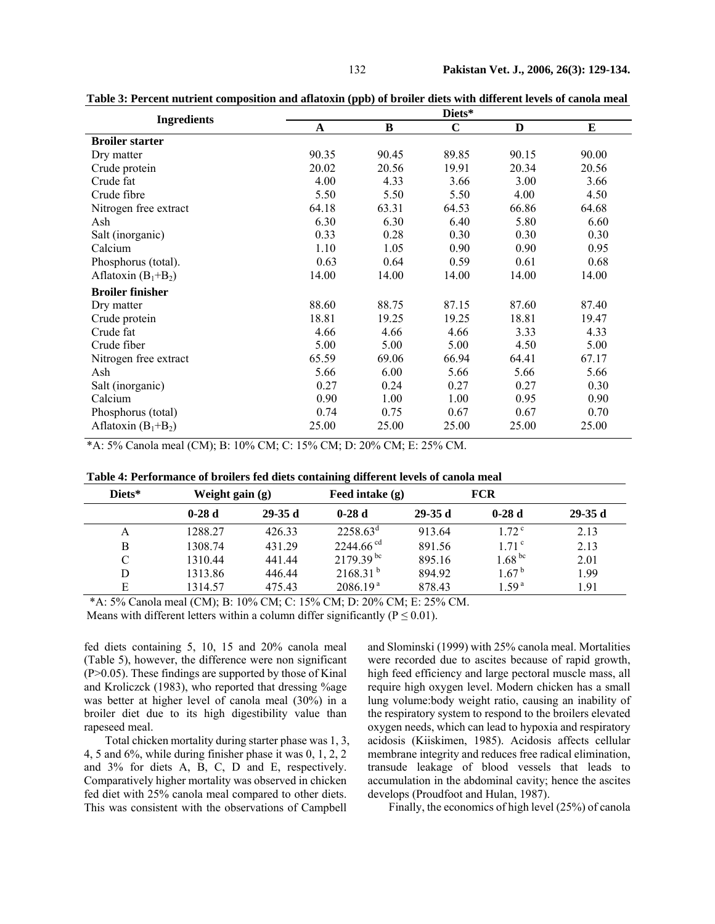| <b>Ingredients</b>      | Diets* |          |             |       |          |  |  |
|-------------------------|--------|----------|-------------|-------|----------|--|--|
|                         | A      | $\bf{B}$ | $\mathbf C$ | D     | $\bf{E}$ |  |  |
| <b>Broiler starter</b>  |        |          |             |       |          |  |  |
| Dry matter              | 90.35  | 90.45    | 89.85       | 90.15 | 90.00    |  |  |
| Crude protein           | 20.02  | 20.56    | 19.91       | 20.34 | 20.56    |  |  |
| Crude fat               | 4.00   | 4.33     | 3.66        | 3.00  | 3.66     |  |  |
| Crude fibre             | 5.50   | 5.50     | 5.50        | 4.00  | 4.50     |  |  |
| Nitrogen free extract   | 64.18  | 63.31    | 64.53       | 66.86 | 64.68    |  |  |
| Ash                     | 6.30   | 6.30     | 6.40        | 5.80  | 6.60     |  |  |
| Salt (inorganic)        | 0.33   | 0.28     | 0.30        | 0.30  | 0.30     |  |  |
| Calcium                 | 1.10   | 1.05     | 0.90        | 0.90  | 0.95     |  |  |
| Phosphorus (total).     | 0.63   | 0.64     | 0.59        | 0.61  | 0.68     |  |  |
| Aflatoxin $(B_1 + B_2)$ | 14.00  | 14.00    | 14.00       | 14.00 | 14.00    |  |  |
| <b>Broiler finisher</b> |        |          |             |       |          |  |  |
| Dry matter              | 88.60  | 88.75    | 87.15       | 87.60 | 87.40    |  |  |
| Crude protein           | 18.81  | 19.25    | 19.25       | 18.81 | 19.47    |  |  |
| Crude fat               | 4.66   | 4.66     | 4.66        | 3.33  | 4.33     |  |  |
| Crude fiber             | 5.00   | 5.00     | 5.00        | 4.50  | 5.00     |  |  |
| Nitrogen free extract   | 65.59  | 69.06    | 66.94       | 64.41 | 67.17    |  |  |
| Ash                     | 5.66   | 6.00     | 5.66        | 5.66  | 5.66     |  |  |
| Salt (inorganic)        | 0.27   | 0.24     | 0.27        | 0.27  | 0.30     |  |  |
| Calcium                 | 0.90   | 1.00     | 1.00        | 0.95  | 0.90     |  |  |
| Phosphorus (total)      | 0.74   | 0.75     | 0.67        | 0.67  | 0.70     |  |  |
| Aflatoxin $(B_1 + B_2)$ | 25.00  | 25.00    | 25.00       | 25.00 | 25.00    |  |  |

**Table 3: Percent nutrient composition and aflatoxin (ppb) of broiler diets with different levels of canola meal** 

\*A: 5% Canola meal (CM); B: 10% CM; C: 15% CM; D: 20% CM; E: 25% CM.

| Diets* | Weight gain $(g)$ |          | Feed intake $(g)$       |          | <b>FCR</b>          |          |
|--------|-------------------|----------|-------------------------|----------|---------------------|----------|
|        | $0-28d$           | $29-35d$ | $0-28d$                 | $29-35d$ | $0-28d$             | $29-35d$ |
| А      | 1288.27           | 426.33   | $2258.63^{\circ}$       | 913.64   | $1.72^{\circ}$      | 2.13     |
| B      | 1308.74           | 431.29   | $2244.66$ <sup>cd</sup> | 891.56   | 1.71 <sup>c</sup>   | 2.13     |
|        | 1310.44           | 441.44   | $2179.39^{bc}$          | 895.16   | $1.68^{bc}$         | 2.01     |
| D      | 1313.86           | 446.44   | $2168.31^{b}$           | 894.92   | $1.67^{\mathrm{b}}$ | 1.99     |
| E      | 1314.57           | 475.43   | 2086.19 <sup>a</sup>    | 878.43   | 1.59 <sup>a</sup>   | 1.91     |

\*A: 5% Canola meal (CM); B: 10% CM; C: 15% CM; D: 20% CM; E: 25% CM.

Means with different letters within a column differ significantly ( $P \le 0.01$ ).

fed diets containing 5, 10, 15 and 20% canola meal (Table 5), however, the difference were non significant (P>0.05). These findings are supported by those of Kinal and Kroliczck (1983), who reported that dressing %age was better at higher level of canola meal (30%) in a broiler diet due to its high digestibility value than rapeseed meal.

Total chicken mortality during starter phase was 1, 3, 4, 5 and 6%, while during finisher phase it was 0, 1, 2, 2 and 3% for diets A, B, C, D and E, respectively. Comparatively higher mortality was observed in chicken fed diet with 25% canola meal compared to other diets. This was consistent with the observations of Campbell

and Slominski (1999) with 25% canola meal. Mortalities were recorded due to ascites because of rapid growth, high feed efficiency and large pectoral muscle mass, all require high oxygen level. Modern chicken has a small lung volume:body weight ratio, causing an inability of the respiratory system to respond to the broilers elevated oxygen needs, which can lead to hypoxia and respiratory acidosis (Kiiskimen, 1985). Acidosis affects cellular membrane integrity and reduces free radical elimination, transude leakage of blood vessels that leads to accumulation in the abdominal cavity; hence the ascites develops (Proudfoot and Hulan, 1987).

Finally, the economics of high level (25%) of canola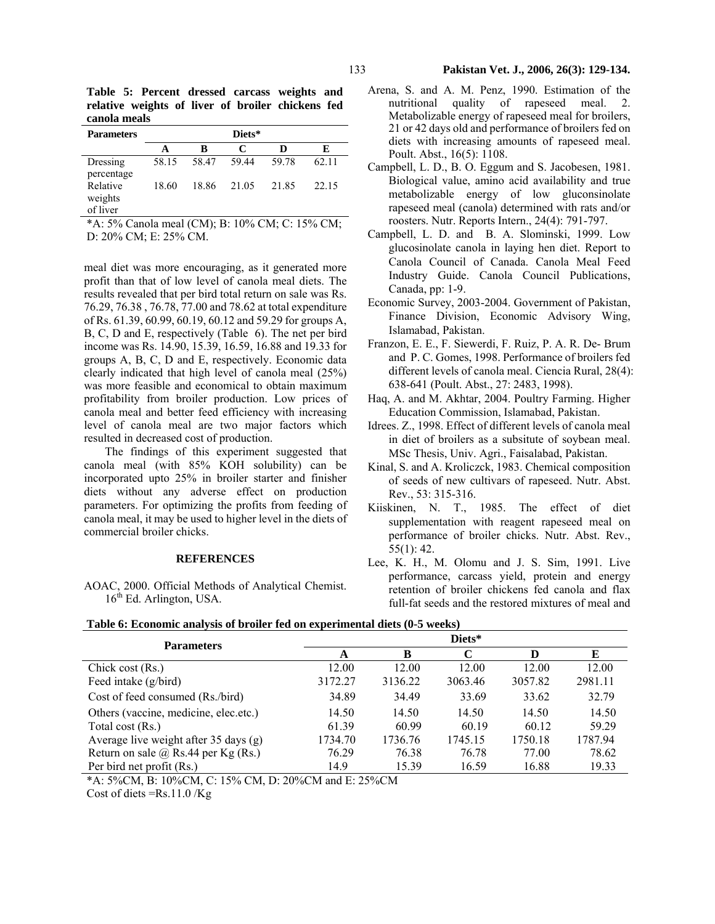**Table 5: Percent dressed carcass weights and relative weights of liver of broiler chickens fed canola meals** 

| <b>Parameters</b>               | Diets* |       |       |       |       |  |  |
|---------------------------------|--------|-------|-------|-------|-------|--|--|
|                                 |        | B     | C     | D     | E     |  |  |
| Dressing<br>percentage          | 58.15  | 58.47 | 59.44 | 59.78 | 62.11 |  |  |
| Relative<br>weights<br>of liver | 18.60  | 18.86 | 21.05 | 21.85 | 22.15 |  |  |

\*A: 5% Canola meal (CM); B: 10% CM; C: 15% CM; D: 20% CM; E: 25% CM.

meal diet was more encouraging, as it generated more profit than that of low level of canola meal diets. The results revealed that per bird total return on sale was Rs. 76.29, 76.38 , 76.78, 77.00 and 78.62 at total expenditure of Rs. 61.39, 60.99, 60.19, 60.12 and 59.29 for groups A, B, C, D and E, respectively (Table 6). The net per bird income was Rs. 14.90, 15.39, 16.59, 16.88 and 19.33 for groups A, B, C, D and E, respectively. Economic data clearly indicated that high level of canola meal (25%) was more feasible and economical to obtain maximum profitability from broiler production. Low prices of canola meal and better feed efficiency with increasing level of canola meal are two major factors which resulted in decreased cost of production.

The findings of this experiment suggested that canola meal (with 85% KOH solubility) can be incorporated upto 25% in broiler starter and finisher diets without any adverse effect on production parameters. For optimizing the profits from feeding of canola meal, it may be used to higher level in the diets of commercial broiler chicks.

# **REFERENCES**

AOAC, 2000. Official Methods of Analytical Chemist.  $16<sup>th</sup>$  Ed. Arlington, USA.

- Arena, S. and A. M. Penz, 1990. Estimation of the nutritional quality of rapeseed meal. 2. Metabolizable energy of rapeseed meal for broilers, 21 or 42 days old and performance of broilers fed on diets with increasing amounts of rapeseed meal. Poult. Abst., 16(5): 1108.
- Campbell, L. D., B. O. Eggum and S. Jacobesen, 1981. Biological value, amino acid availability and true metabolizable energy of low gluconsinolate rapeseed meal (canola) determined with rats and/or roosters. Nutr. Reports Intern., 24(4): 791-797.
- Campbell, L. D. and B. A. Slominski, 1999. Low glucosinolate canola in laying hen diet. Report to Canola Council of Canada. Canola Meal Feed Industry Guide. Canola Council Publications, Canada, pp: 1-9.
- Economic Survey, 2003-2004. Government of Pakistan, Finance Division, Economic Advisory Wing, Islamabad, Pakistan.
- Franzon, E. E., F. Siewerdi, F. Ruiz, P. A. R. De- Brum and P. C. Gomes, 1998. Performance of broilers fed different levels of canola meal. Ciencia Rural, 28(4): 638-641 (Poult. Abst., 27: 2483, 1998).
- Haq, A. and M. Akhtar, 2004. Poultry Farming. Higher Education Commission, Islamabad, Pakistan.
- Idrees. Z., 1998. Effect of different levels of canola meal in diet of broilers as a subsitute of soybean meal. MSc Thesis, Univ. Agri., Faisalabad, Pakistan.
- Kinal, S. and A. Kroliczck, 1983. Chemical composition of seeds of new cultivars of rapeseed. Nutr. Abst. Rev., 53: 315-316.
- Kiiskinen, N. T., 1985. The effect of diet supplementation with reagent rapeseed meal on performance of broiler chicks. Nutr. Abst. Rev., 55(1): 42.
- Lee, K. H., M. Olomu and J. S. Sim, 1991. Live performance, carcass yield, protein and energy retention of broiler chickens fed canola and flax full-fat seeds and the restored mixtures of meal and

| <b>Parameters</b>                          | Diets*  |         |         |         |         |  |  |
|--------------------------------------------|---------|---------|---------|---------|---------|--|--|
|                                            | A       | B       |         | D       | E       |  |  |
| Chick cost $(Rs.)$                         | 12.00   | 12.00   | 12.00   | 12.00   | 12.00   |  |  |
| Feed intake (g/bird)                       | 3172.27 | 3136.22 | 3063.46 | 3057.82 | 2981.11 |  |  |
| Cost of feed consumed (Rs./bird)           | 34.89   | 34.49   | 33.69   | 33.62   | 32.79   |  |  |
| Others (vaccine, medicine, elec.etc.)      | 14.50   | 14.50   | 14.50   | 14.50   | 14.50   |  |  |
| Total cost (Rs.)                           | 61.39   | 60.99   | 60.19   | 60.12   | 59.29   |  |  |
| Average live weight after 35 days $(g)$    | 1734.70 | 1736.76 | 1745.15 | 1750.18 | 1787.94 |  |  |
| Return on sale $\omega$ Rs.44 per Kg (Rs.) | 76.29   | 76.38   | 76.78   | 77.00   | 78.62   |  |  |
| Per bird net profit (Rs.)                  | 14.9    | 15.39   | 16.59   | 16.88   | 19.33   |  |  |

**Table 6: Economic analysis of broiler fed on experimental diets (0-5 weeks)** 

\*A: 5%CM, B: 10%CM, C: 15% CM, D: 20%CM and E: 25%CM

Cost of diets =Rs.11.0 /Kg